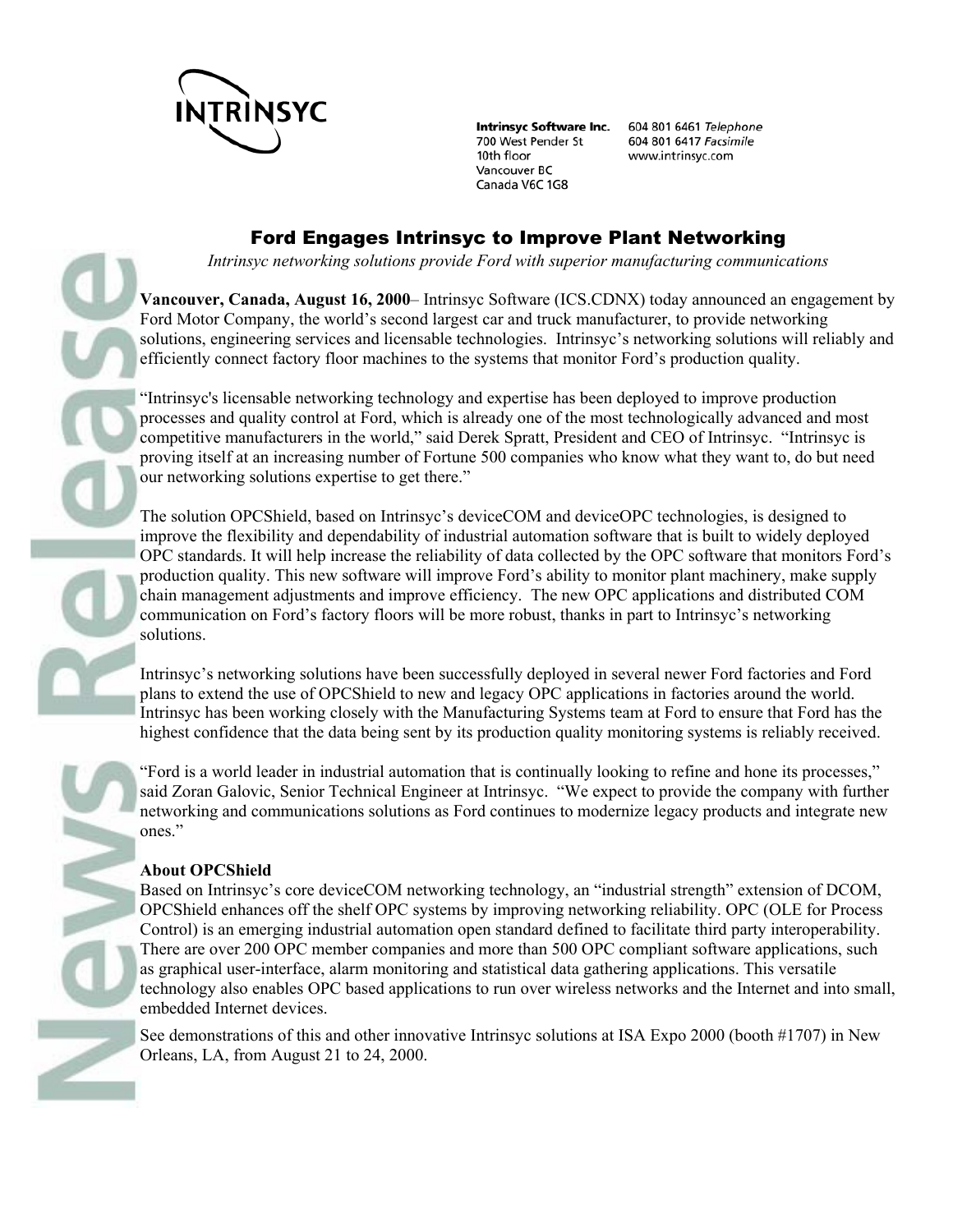

**Intrinsyc Software Inc.** 700 West Pender St 10th floor Vancouver BC Canada V6C 1G8

604 801 6461 Telephone 604 801 6417 Facsimile www.intrinsyc.com

## Ford Engages Intrinsyc to Improve Plant Networking

*Intrinsyc networking solutions provide Ford with superior manufacturing communications* 

**Vancouver, Canada, August 16, 2000**– Intrinsyc Software (ICS.CDNX) today announced an engagement by Ford Motor Company, the world's second largest car and truck manufacturer, to provide networking solutions, engineering services and licensable technologies. Intrinsyc's networking solutions will reliably and efficiently connect factory floor machines to the systems that monitor Ford's production quality.

"Intrinsyc's licensable networking technology and expertise has been deployed to improve production processes and quality control at Ford, which is already one of the most technologically advanced and most competitive manufacturers in the world," said Derek Spratt, President and CEO of Intrinsyc. "Intrinsyc is proving itself at an increasing number of Fortune 500 companies who know what they want to, do but need our networking solutions expertise to get there."

The solution OPCShield, based on Intrinsyc's deviceCOM and deviceOPC technologies, is designed to improve the flexibility and dependability of industrial automation software that is built to widely deployed OPC standards. It will help increase the reliability of data collected by the OPC software that monitors Ford's production quality. This new software will improve Ford's ability to monitor plant machinery, make supply chain management adjustments and improve efficiency. The new OPC applications and distributed COM communication on Ford's factory floors will be more robust, thanks in part to Intrinsyc's networking solutions.

Intrinsyc's networking solutions have been successfully deployed in several newer Ford factories and Ford plans to extend the use of OPCShield to new and legacy OPC applications in factories around the world. Intrinsyc has been working closely with the Manufacturing Systems team at Ford to ensure that Ford has the highest confidence that the data being sent by its production quality monitoring systems is reliably received.

"Ford is a world leader in industrial automation that is continually looking to refine and hone its processes," said Zoran Galovic, Senior Technical Engineer at Intrinsyc. "We expect to provide the company with further networking and communications solutions as Ford continues to modernize legacy products and integrate new ones."

## **About OPCShield**

Based on Intrinsyc's core deviceCOM networking technology, an "industrial strength" extension of DCOM, OPCShield enhances off the shelf OPC systems by improving networking reliability. OPC (OLE for Process Control) is an emerging industrial automation open standard defined to facilitate third party interoperability. There are over 200 OPC member companies and more than 500 OPC compliant software applications, such as graphical user-interface, alarm monitoring and statistical data gathering applications. This versatile technology also enables OPC based applications to run over wireless networks and the Internet and into small, embedded Internet devices.

See demonstrations of this and other innovative Intrinsyc solutions at ISA Expo 2000 (booth #1707) in New Orleans, LA, from August 21 to 24, 2000.